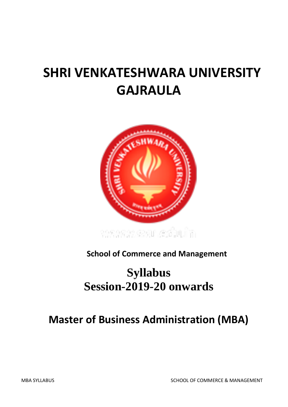# **SHRI VENKATESHWARA UNIVERSITY GAJRAULA**



**School of Commerce and Management**

## **Syllabus Session-2019-20 onwards**

## **Master of Business Administration (MBA)**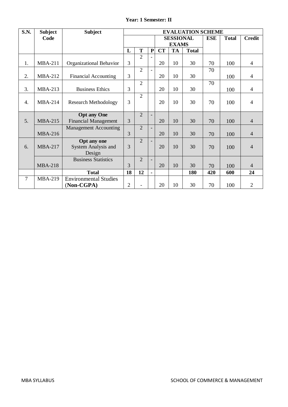|  |  | <b>Year: 1 Semester: II</b> |  |
|--|--|-----------------------------|--|
|--|--|-----------------------------|--|

| <b>S.N.</b>      | <b>Subject</b> | <b>Subject</b>               | <b>EVALUATION SCHEME</b> |                |                          |           |           |              |              |               |                |
|------------------|----------------|------------------------------|--------------------------|----------------|--------------------------|-----------|-----------|--------------|--------------|---------------|----------------|
|                  | Code           |                              |                          |                | <b>SESSIONAL</b>         |           |           | <b>ESE</b>   | <b>Total</b> | <b>Credit</b> |                |
|                  |                |                              |                          |                | <b>EXAMS</b>             |           |           |              |              |               |                |
|                  |                |                              | L                        | T              | ${\bf P}$                | <b>CT</b> | <b>TA</b> | <b>Total</b> |              |               |                |
| 1.               | <b>MBA-211</b> |                              | 3                        | $\overline{2}$ |                          | 20        | 10        | 30           |              |               | $\overline{4}$ |
|                  |                | Organizational Behavior      |                          |                |                          |           |           |              | 70           | 100           |                |
| 2.               | <b>MBA-212</b> | <b>Financial Accounting</b>  | 3                        | $\overline{2}$ |                          | 20        | 10        | 30           | 70           | 100           | $\overline{4}$ |
|                  |                |                              |                          | $\overline{2}$ |                          |           |           |              | 70           |               |                |
| 3.               | <b>MBA-213</b> | <b>Business Ethics</b>       | 3                        |                |                          | 20        | 10        | 30           |              | 100           | $\overline{4}$ |
| $\overline{4}$ . | <b>MBA-214</b> | <b>Research Methodology</b>  | 3                        | $\overline{2}$ |                          | 20        | 10        | 30           | 70           | 100           | $\overline{4}$ |
|                  |                | <b>Opt any One</b>           |                          | $\overline{2}$ |                          |           |           |              |              |               |                |
| 5.               | <b>MBA-215</b> | <b>Financial Management</b>  | 3                        |                |                          | 20        | 10        | 30           | 70           | 100           | $\overline{4}$ |
|                  |                | <b>Management Accounting</b> |                          | $\overline{2}$ |                          |           |           |              |              |               |                |
|                  | <b>MBA-216</b> |                              | 3                        |                |                          | 20        | 10        | 30           | 70           | 100           | $\overline{4}$ |
|                  |                | Opt any one                  |                          | $\overline{2}$ |                          |           |           |              |              |               |                |
| 6.               | <b>MBA-217</b> | <b>System Analysis and</b>   | 3                        |                |                          | 20        | 10        | 30           | 70           | 100           | $\overline{4}$ |
|                  |                | Design                       |                          |                |                          |           |           |              |              |               |                |
|                  |                | <b>Business Statistics</b>   |                          | $\overline{2}$ | $\overline{\phantom{a}}$ |           |           |              |              |               |                |
|                  | <b>MBA-218</b> |                              | 3                        |                |                          | 20        | 10        | 30           | 70           | 100           | 4              |
|                  |                | <b>Total</b>                 | 18                       | 12             | $\blacksquare$           |           |           | 180          | 420          | 600           | 24             |
| 7                | <b>MBA-219</b> | <b>Environmental Studies</b> |                          |                |                          |           |           |              |              |               |                |
|                  |                | (Non-CGPA)                   | $\overline{2}$           |                |                          | 20        | 10        | 30           | 70           | 100           | $\overline{2}$ |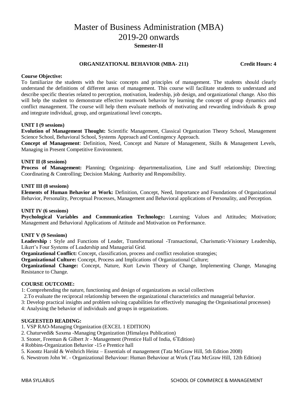## Master of Business Administration (MBA) 2019-20 onwards **Semester-II**

#### **ORGANIZATIONAL BEHAVIOR (MBA- 211) Credit Hours: 4**

#### **Course Objective:**

To familiarize the students with the basic concepts and principles of management. The students should clearly understand the definitions of different areas of management. This course will facilitate students to understand and describe specific theories related to perception, motivation, leadership, job design, and organizational change. Also this will help the student to demonstrate effective teamwork behavior by learning the concept of group dynamics and conflict management. The course will help them evaluate methods of motivating and rewarding individuals & group and integrate individual, group, and organizational level concepts**.** 

#### **UNIT I (9 sessions)**

**Evolution of Management Thought:** Scientific Management, Classical Organization Theory School, Management Science School, Behavioral School, Systems Approach and Contingency Approach.

**Concept of Management**: Definition, Need, Concept and Nature of Management, Skills & Management Levels, Managing in Present Competitive Environment.

## **UNIT II (8 sessions)**

**Process of Management:** Planning; Organizing- departmentalization, Line and Staff relationship; Directing; Coordinating & Controlling; Decision Making; Authority and Responsibility.

#### **UNIT III (8 sessions)**

**Elements of Human Behavior at Work:** Definition, Concept, Need, Importance and Foundations of Organizational Behavior, Personality, Perceptual Processes, Management and Behavioral applications of Personality, and Perception.

#### **UNIT IV (6 sessions)**

**Psychological Variables and Communication Technology:** Learning; Values and Attitudes; Motivation; Management and Behavioral Applications of Attitude and Motivation on Performance.

#### **UNIT V (9 Sessions)**

**Leadership :** Style and Functions of Leader, Transformational -Transactional, Charismatic-Visionary Leadership, Likert's Four Systems of Leadership and Managerial Grid.

**Organizational Conflict:** Concept, classification, process and conflict resolution strategies;

**Organizational Culture:** Concept, Process and Implications of Organizational Culture;

**Organizational Change:** Concept, Nature, Kurt Lewin Theory of Change, Implementing Change, Managing Resistance to Change.

#### **COURSE OUTCOME:**

1: Comprehending the nature, functioning and design of organizations as social collectives

2.To evaluate the reciprocal relationship between the organizational characteristics and managerial behavior.

3: Develop practical insights and problem solving capabilities for effectively managing the Organisational processes)

4: Analysing the behavior of individuals and groups in organizations.

#### **SUGEESTED READING:**

1. VSP RAO-Managing Organization (EXCEL 1 EDITION)

- 2. Chaturvedi& Saxena -Managing Organization (Himalaya Publication)
- 3. Stoner, Freeman & Gilbert Jr Management (Prentice Hall of India,  $6^{\degree}$ Edition)
- 4 Robbins-Organization Behavior -15 e Prentice hall
- 5. Koontz Harold & Weihrich Heinz Essentials of management (Tata McGraw Hill, 5th Edition 2008)
- 6. Newstrom John W. Organizational Behaviour: Human Behaviour at Work (Tata McGraw Hill, 12th Edition)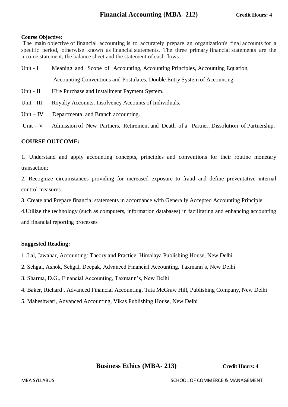## **Course Objective:**

The main objective of financial accounting is to accurately prepare an organization's final accounts for a specific period, otherwise known as financial statements. The three primary financial statements are the income statement, the balance sheet and the statement of cash flows

- Unit I Meaning and Scope of Accounting, Accounting Principles, Accounting Equation, Accounting Conventions and Postulates, Double Entry System of Accounting. Unit - II Hire Purchase and Installment Payment System.
- Unit III Royalty Accounts, Insolvency Accounts of Individuals.
- Unit IV Departmental and Branch accounting.
- Unit V Admission of New Partners, Retirement and Death of a Partner, Dissolution of Partnership.

## **COURSE OUTCOME:**

1. Understand and apply accounting concepts, principles and conventions for their routine monetary transaction;

2. Recognize circumstances providing for increased exposure to fraud and define preventative internal control measures.

3. Create and Prepare financial statements in accordance with Generally Accepted Accounting Principle

4.Utilize the technology (such as computers, information databases) in facilitating and enhancing accounting and financial reporting processes

## **Suggested Reading:**

- 1 .Lal, Jawahar, Accounting: Theory and Practice, Himalaya Publishing House, New Delhi
- 2. Sehgal, Ashok, Sehgal, Deepak, Advanced Financial Accounting. Taxmann's, New Delhi
- 3. Sharma, D.G., Financial Accounting, Taxmann's, New Delhi
- 4. Baker, Richard , Advanced Financial Accounting, Tata McGraw Hill, Publishing Company, New Delhi
- 5. Maheshwari, Advanced Accounting, Vikas Publishing House, New Delhi

 **Business Ethics (MBA- 213) Credit Hours: 4**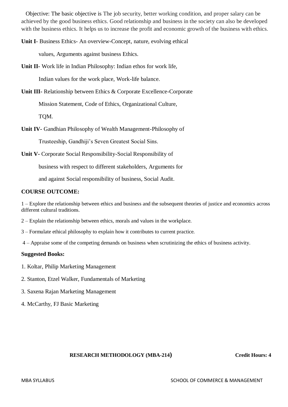Objective: The basic objective is The job security, better working condition, and proper salary can be achieved by the good business ethics. Good relationship and business in the society can also be developed with the business ethics. It helps us to increase the profit and economic growth of the business with ethics.

**Unit I**- Business Ethics- An overview-Concept, nature, evolving ethical

values, Arguments against business Ethics.

**Unit II-** Work life in Indian Philosophy: Indian ethos for work life,

Indian values for the work place, Work-life balance.

**Unit III-** Relationship between Ethics & Corporate Excellence-Corporate

Mission Statement, Code of Ethics, Organizational Culture,

TQM.

**Unit IV-** Gandhian Philosophy of Wealth Management-Philosophy of

Trusteeship, Gandhiji's Seven Greatest Social Sins.

**Unit V-** Corporate Social Responsibility-Social Responsibility of

business with respect to different stakeholders, Arguments for

and against Social responsibility of business, Social Audit.

## **COURSE OUTCOME:**

1 – Explore the relationship between ethics and business and the subsequent theories of justice and economics across different cultural traditions.

- 2 Explain the relationship between ethics, morals and values in the workplace.
- 3 Formulate ethical philosophy to explain how it contributes to current practice.
- 4 Appraise some of the competing demands on business when scrutinizing the ethics of business activity.

## **Suggested Books:**

- 1. Koltar, Philip Marketing Management
- 2. Stanton, Etzel Walker, Fundamentals of Marketing
- 3. Saxena Rajan Marketing Management
- 4. McCarthy, FJ Basic Marketing

## **RESEARCH METHODOLOGY (MBA-214) Credit Hours: 4**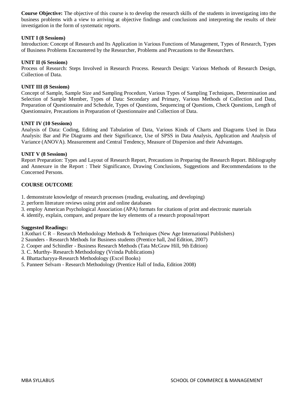**Course Objective:** The objective of this course is to develop the research skills of the students in investigating into the business problems with a view to arriving at objective findings and conclusions and interpreting the results of their investigation in the form of systematic reports.

## **UNIT I (8 Sessions)**

Introduction: Concept of Research and Its Application in Various Functions of Management, Types of Research, Types of Business Problems Encountered by the Researcher, Problems and Precautions to the Researchers.

#### **UNIT II (6 Sessions)**

Process of Research: Steps Involved in Research Process. Research Design: Various Methods of Research Design, Collection of Data.

#### **UNIT III (8 Sessions)**

Concept of Sample, Sample Size and Sampling Procedure, Various Types of Sampling Techniques, Determination and Selection of Sample Member, Types of Data: Secondary and Primary, Various Methods of Collection and Data, Preparation of Questionnaire and Schedule, Types of Questions, Sequencing of Questions, Check Questions, Length of Questionnaire, Precautions in Preparation of Questionnaire and Collection of Data.

#### **UNIT IV (10 Sessions)**

Analysis of Data: Coding, Editing and Tabulation of Data, Various Kinds of Charts and Diagrams Used in Data Analysis: Bar and Pie Diagrams and their Significance, Use of SPSS in Data Analysis, Application and Analysis of Variance (ANOVA). Measurement and Central Tendency, Measure of Dispersion and their Advantages.

#### **UNIT V (8 Sessions)**

Report Preparation: Types and Layout of Research Report, Precautions in Preparing the Research Report. Bibliography and Annexure in the Report : Their Significance, Drawing Conclusions, Suggestions and Recommendations to the Concerned Persons.

## **COURSE OUTCOME**

- 1. demonstrate knowledge of research processes (reading, evaluating, and developing)
- 2. perform literature reviews using print and online databases
- 3. employ American Psychological Association (APA) formats for citations of print and electronic materials
- 4. identify, explain, compare, and prepare the key elements of a research proposal/report

## **Suggested Readings:**

1.Kothari C R – Research Methodology Methods & Techniques (New Age International Publishers)

- 2 Saunders Research Methods for Business students (Prentice hall, 2nd Edition, 2007)
- 2. Cooper and Schindler Business Research Methods (Tata McGraw Hill, 9th Edition)
- 3. C. Murthy- Research Methodology (Vrinda Publications)
- 4. Bhattacharyya-Research Methodology (Excel Books)
- 5. Panneer Selvam Research Methodology (Prentice Hall of India, Edition 2008)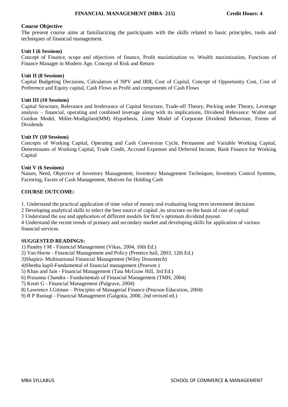## **Course Objective**

The present course aims at familiarizing the participants with the skills related to basic principles, tools and techniques of financial management.

## **Unit I (6 Sessions)**

Concept of Finance, scope and objectives of finance, Profit maximization vs. Wealth maximization, Functions of Finance Manager in Modern Age, Concept of Risk and Return

## **Unit II (8 Sessions)**

Capital Budgeting Decisions, Calculation of NPV and IRR, Cost of Capital, Concept of Opportunity Cost, Cost of Preference and Equity capital, Cash Flows as Profit and components of Cash Flows

## **Unit III (10 Sessions)**

Capital Structure, Relevance and Irrelevance of Capital Structure, Trade-off Theory, Pecking order Theory, Leverage analysis – financial, operating and combined leverage along with its implications, Dividend Relevance: Walter and Gordon Model, Miller-Modigilani(MM) Hypothesis, Linter Model of Corporate Dividend Behaviour, Forms of Dividends

## **Unit IV (10 Sessions)**

Concepts of Working Capital, Operating and Cash Conversion Cycle, Permanent and Variable Working Capital, Determinants of Working Capital, Trade Credit, Accrued Expenses and Deferred Income, Bank Finance for Working Capital

## **Unit V (6 Sessions)**

Nature, Need, Objective of Inventory Management, Inventory Management Techniques, Inventory Control Systems, Factoring, Facets of Cash Management, Motives for Holding Cash

## **COURSE OUTCOME:**

1. Understand the practical application of time value of money and evaluating long term investment decisions

2 Developing analytical skills to select the best source of capital ,its structure on the basis of cost of capital

3 Understand the use and application of different models for firm's optimum dividend payout.

4 Understand the recent trends of primary and secondary market and developing skills for application of various financial services.

## **SUGGESTED READINGS:**

1) Pandey I M - Financial Management (Vikas, 2004, 10th Ed.)

2) Van Horne - Financial Management and Policy (Prentice hall, 2003, 12th Ed.)

3)Shapiro- Multinational Financial Management (Wiley Dreamtech)

4)Sheeba kapil-Fundamental of financial management (Pearson )

5) Khan and Jain - Financial Management (Tata McGraw Hill, 3rd Ed.)

6) Prasanna Chandra - Fundamentals of Financial Management (TMH, 2004)

7) Knott G - Financial Management (Palgrave, 2004)

8) Lawrence J.Gitman – Principles of Managerial Finance (Pearson Education, 2004)

9) R P Rustagi - Financial Management (Galgotia, 2000, 2nd revised ed.)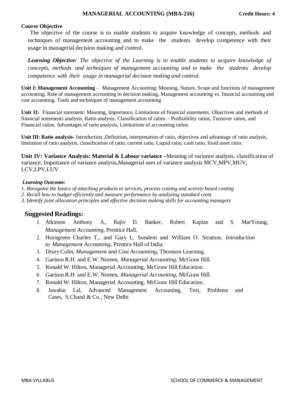## **Course Objective**

The objective of the course is to enable students to acquire knowledge of concepts, methods and techniques of management accounting and to make the students develop competence with their usage in managerial decision making and control.

*Learning Objective: The objective of the Learning is to enable students to acquire knowledge of concepts, methods and techniques of management accounting and to make the students develop competence with their usage in managerial decision making and control.*

**Unit I: Management Accounting** – Management Accounting: Meaning, Nature, Scope and functions of management accounting, Role of management accounting in decision making, Management accounting vs. financial accounting and cost accounting. Tools and techniques of management accounting

**Unit II:** Financial statement: Meaning, Importance, Limitations of financial statements, Objectives and methods of financial statements analysis, Ratio analysis, Classification of ratios – Profitability ratios, Turnover ratios, and Financial ratios, Advantages of ratio analysis, Limitations of accounting ratios.

**Unit III: Ratio analysis-** Introduction ,Definition, interpretation of ratio, objectives and advantage of ratio analysis, limitation of ratio analysis, classification of ratio, current ratio, Liquid ratio, cash ratio, fixed asset ratio.

**Unit IV: Variance Analysis: Material & Labour variance –**Meaning of variance analysis, classification of variance, Importance of variance analysis,Managerial uses of variance analysis MCV,MPV,MUV, LCV,LPV,LUV

## *Learning Outcome:*

- *1. Recognize the basics of attaching products to services, process costing and activity based costing*
- *2. Recall how to budget efficiently and measure performance by analyzing standard costs*
- *3. Identify joint allocation principles and effective decision making skills for accounting managers*

## **Suggested Readings:**

- 1. Atkinson Anthony A., Rajiv D. Banker, Robert Kaplan and S. MarYoung*, Management Accounting,* Prentice Hall.
- 2. Horngreen Charles T., and Gary L. Sundem and William O. Stratton, *Introduction to Management Accounting*, Prentice Hall of India.
- 3. DruryColin, *Management and Cost Accounting*, Thomson Learning.
- 4. Garison R.H. and E.W. Noreen, *Managerial Accounting*, McGraw Hill.
- 5. Ronald W. Hilton, Managerial Accounting, McGraw Hill Education.
- 6. Garison R.H. and E.W. Noreen, *Managerial Accounting*, McGraw Hill.
- 7. Ronald W. Hilton, Managerial Accounting, McGraw Hill Education.
- 8. Jawahar Lal, Advanced Management Accounting, Text, Problems and Cases, S.Chand & Co., New Delhi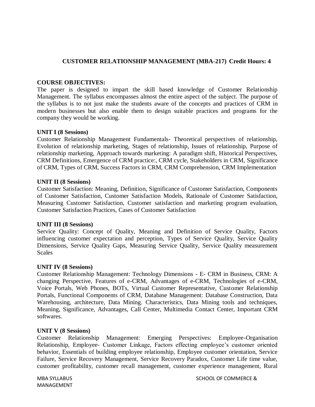## **CUSTOMER RELATIONSHIP MANAGEMENT (MBA-217) Credit Hours: 4**

## **COURSE OBJECTIVES:**

The paper is designed to impart the skill based knowledge of Customer Relationship Management. The syllabus encompasses almost the entire aspect of the subject. The purpose of the syllabus is to not just make the students aware of the concepts and practices of CRM in modern businesses but also enable them to design suitable practices and programs for the company they would be working.

## **UNIT I (8 Sessions)**

Customer Relationship Management Fundamentals- Theoretical perspectives of relationship, Evolution of relationship marketing, Stages of relationship, Issues of relationship, Purpose of relationship marketing, Approach towards marketing: A paradigm shift, Historical Perspectives, CRM Definitions, Emergence of CRM practice:, CRM cycle, Stakeholders in CRM, Significance of CRM, Types of CRM, Success Factors in CRM, CRM Comprehension, CRM Implementation

## **UNIT II (8 Sessions)**

Customer Satisfaction: Meaning, Definition, Significance of Customer Satisfaction, Components of Customer Satisfaction, Customer Satisfaction Models, Rationale of Customer Satisfaction, Measuring Customer Satisfaction, Customer satisfaction and marketing program evaluation, Customer Satisfaction Practices, Cases of Customer Satisfaction

## **UNIT III (8 Sessions)**

Service Quality: Concept of Quality, Meaning and Definition of Service Quality, Factors influencing customer expectation and perception, Types of Service Quality, Service Quality Dimensions, Service Quality Gaps, Measuring Service Quality, Service Quality measurement **Scales** 

## **UNIT IV (8 Sessions)**

Customer Relationship Management: Technology Dimensions - E- CRM in Business, CRM: A changing Perspective, Features of e-CRM, Advantages of e-CRM, Technologies of e-CRM, Voice Portals, Web Phones, BOTs, Virtual Customer Representative, Customer Relationship Portals, Functional Components of CRM, Database Management: Database Construction, Data Warehousing, architecture, Data Mining. Characteristics, Data Mining tools and techniques, Meaning, Significance, Advantages, Call Center, Multimedia Contact Center, Important CRM softwares.

## **UNIT V (8 Sessions)**

Customer Relationship Management: Emerging Perspectives: Employee-Organisation Relationship, Employee- Customer Linkage, Factors effecting employee's customer oriented behavior, Essentials of building employee relationship, Employee customer orientation, Service Failure, Service Recovery Management, Service Recovery Paradox, Customer Life time value, customer profitability, customer recall management, customer experience management, Rural

MANAGEMENT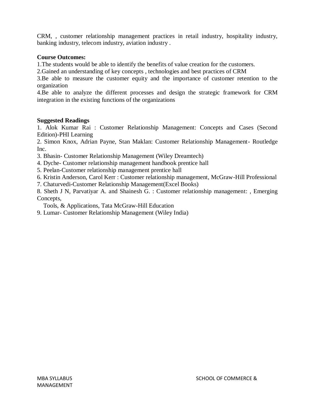CRM, , customer relationship management practices in retail industry, hospitality industry, banking industry, telecom industry, aviation industry .

## **Course Outcomes:**

1.The students would be able to identify the benefits of value creation for the customers.

2.Gained an understanding of key concepts , technologies and best practices of CRM

3.Be able to measure the customer equity and the importance of customer retention to the organization

4.Be able to analyze the different processes and design the strategic framework for CRM integration in the existing functions of the organizations

## **Suggested Readings**

1. Alok Kumar Rai : Customer Relationship Management: Concepts and Cases (Second Edition)-PHI Learning

2. Simon Knox, Adrian Payne, Stan Maklan: Customer Relationship Management- Routledge Inc.

3. Bhasin- Customer Relationship Management (Wiley Dreamtech)

- 4. Dyche- Customer relationship management handbook prentice hall
- 5. Peelan-Customer relationship management prentice hall

6. Kristin Anderson, Carol Kerr : Customer relationship management, McGraw-Hill Professional

7. Chaturvedi-Customer Relationship Management(Excel Books)

8. Sheth J N, Parvatiyar A. and Shainesh G. : Customer relationship management: , Emerging Concepts,

Tools, & Applications, Tata McGraw-Hill Education

9. Lumar- Customer Relationship Management (Wiley India)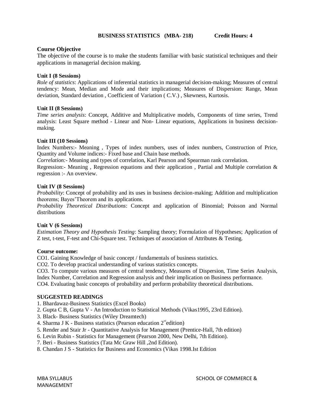## **BUSINESS STATISTICS (MBA- 218) Credit Hours: 4**

## **Course Objective**

The objective of the course is to make the students familiar with basic statistical techniques and their applications in managerial decision making.

## **Unit I (8 Sessions)**

*Role of statistics*: Applications of inferential statistics in managerial decision-making; Measures of central tendency: Mean, Median and Mode and their implications; Measures of Dispersion: Range, Mean deviation, Standard deviation , Coefficient of Variation ( C.V.) , Skewness, Kurtosis.

## **Unit II (8 Sessions)**

*Time series analysis*: Concept, Additive and Multiplicative models, Components of time series, Trend analysis: Least Square method - Linear and Non- Linear equations, Applications in business decisionmaking.

## **Unit III (10 Sessions)**

Index Numbers:- Meaning , Types of index numbers, uses of index numbers, Construction of Price, Quantity and Volume indices:- Fixed base and Chain base methods.

*Correlation:-* Meaning and types of correlation, Karl Pearson and Spearman rank correlation.

Regression:- Meaning , Regression equations and their application , Partial and Multiple correlation & regression :- An overview.

## **Unit IV (8 Sessions)**

*Probability*: Concept of probability and its uses in business decision-making; Addition and multiplication theorems; Bayes'Theorem and its applications.

*Probability Theoretical Distributions*: Concept and application of Binomial; Poisson and Normal distributions

## **Unit V (6 Sessions)**

*Estimation Theory and Hypothesis Testing*: Sampling theory; Formulation of Hypotheses; Application of Z test, t-test, F-test and Chi-Square test. Techniques of association of Attributes & Testing.

## **Course outcome:**

CO1. Gaining Knowledge of basic concept / fundamentals of business statistics.

CO2. To develop practical understanding of various statistics concepts.

CO3. To compute various measures of central tendency, Measures of Dispersion, Time Series Analysis, Index Number, Correlation and Regression analysis and their implication on Business performance.

CO4. Evaluating basic concepts of probability and perform probability theoretical distributions.

## **SUGGESTED READINGS**

- 1. Bhardawaz-Business Statistics (Excel Books)
- 2. Gupta C B, Gupta V An Introduction to Statistical Methods (Vikas1995, 23rd Edition).
- 3. Black- Business Statistics (Wiley Dreamtech)
- 4. Sharma J K Business statistics (Pearson education  $2^{nd}$ edition)
- 5. Render and Stair Jr Quantitative Analysis for Management (Prentice-Hall, 7th edition)
- 6. Levin Rubin Statistics for Management (Pearson 2000, New Delhi, 7th Edition).
- 7. Beri Business Statistics (Tata Mc Graw Hill ,2nd Edition).
- 8. Chandan J S Statistics for Business and Economics (Vikas 1998.Ist Edition